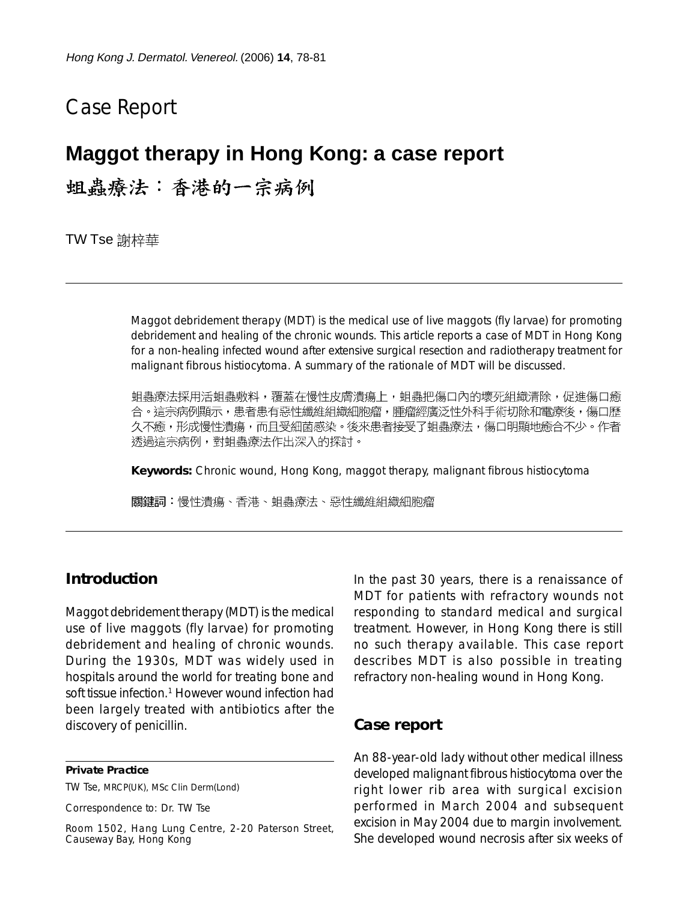# Case Report

## **Maggot therapy in Hong Kong: a case report**

蛆蟲療法:香港的一宗病例

TW Tse 謝梓華

Maggot debridement therapy (MDT) is the medical use of live maggots (fly larvae) for promoting debridement and healing of the chronic wounds. This article reports a case of MDT in Hong Kong for a non-healing infected wound after extensive surgical resection and radiotherapy treatment for malignant fibrous histiocytoma. A summary of the rationale of MDT will be discussed.

蛆蟲療法採用活蛆蟲敷料,覆蓋在慢性皮膚潰瘍上,蛆蟲把傷口內的壞死組織清除,促進傷口癒 合。這宗病例顯示,患者患有惡性纖維組織細胞瘤,腫瘤經廣泛性外科手術切除和電療後,傷口歷 久不癒,形成慢性潰瘍,而且受細菌感染。後來患者接受了蛆蟲療法,傷口明顯地癒合不少。作者 透過這宗病例,對蛆蟲療法作出深入的探討。

**Keywords:** Chronic wound, Hong Kong, maggot therapy, malignant fibrous histiocytoma

關鍵詞:慢性潰瘍、香港、蛆蟲療法、惡性纖維組織細胞瘤

### **Introduction**

Maggot debridement therapy (MDT) is the medical use of live maggots (fly larvae) for promoting debridement and healing of chronic wounds. During the 1930s, MDT was widely used in hospitals around the world for treating bone and soft tissue infection.<sup>1</sup> However wound infection had been largely treated with antibiotics after the discovery of penicillin.

#### **Private Practice**

TW Tse, MRCP(UK), MSc Clin Derm(Lond)

Correspondence to: Dr. TW Tse

Room 1502, Hang Lung Centre, 2-20 Paterson Street, Causeway Bay, Hong Kong

In the past 30 years, there is a renaissance of MDT for patients with refractory wounds not responding to standard medical and surgical treatment. However, in Hong Kong there is still no such therapy available. This case report describes MDT is also possible in treating refractory non-healing wound in Hong Kong.

### **Case report**

An 88-year-old lady without other medical illness developed malignant fibrous histiocytoma over the right lower rib area with surgical excision performed in March 2004 and subsequent excision in May 2004 due to margin involvement. She developed wound necrosis after six weeks of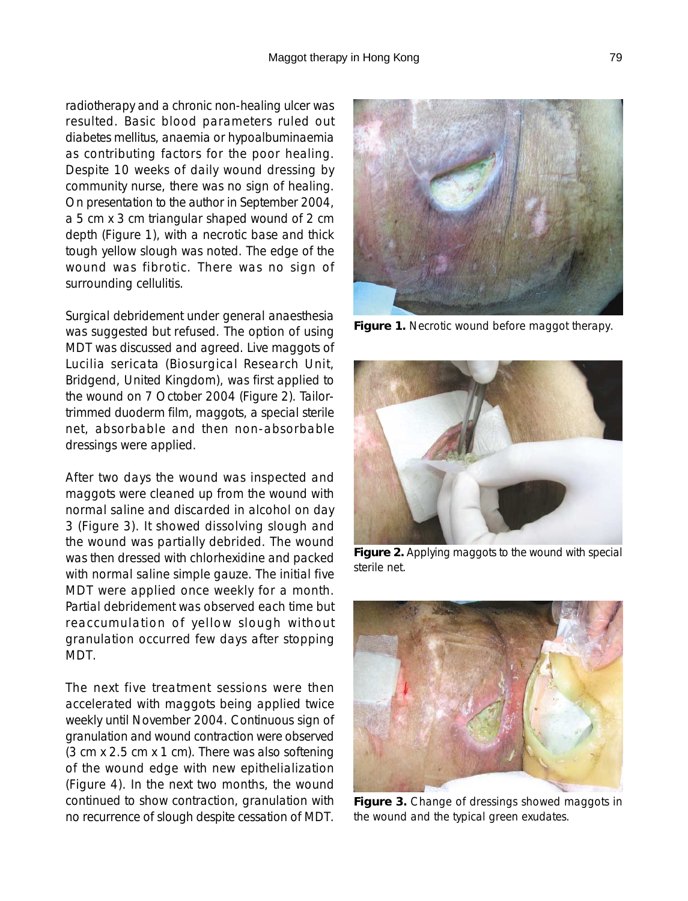radiotherapy and a chronic non-healing ulcer was resulted. Basic blood parameters ruled out diabetes mellitus, anaemia or hypoalbuminaemia as contributing factors for the poor healing. Despite 10 weeks of daily wound dressing by community nurse, there was no sign of healing. On presentation to the author in September 2004, a 5 cm x 3 cm triangular shaped wound of 2 cm depth (Figure 1), with a necrotic base and thick tough yellow slough was noted. The edge of the wound was fibrotic. There was no sign of surrounding cellulitis.

Surgical debridement under general anaesthesia was suggested but refused. The option of using MDT was discussed and agreed. Live maggots of Lucilia sericata (Biosurgical Research Unit, Bridgend, United Kingdom), was first applied to the wound on 7 October 2004 (Figure 2). Tailortrimmed duoderm film, maggots, a special sterile net, absorbable and then non-absorbable dressings were applied.

After two days the wound was inspected and maggots were cleaned up from the wound with normal saline and discarded in alcohol on day 3 (Figure 3). It showed dissolving slough and the wound was partially debrided. The wound was then dressed with chlorhexidine and packed with normal saline simple gauze. The initial five MDT were applied once weekly for a month. Partial debridement was observed each time but reaccumulation of yellow slough without granulation occurred few days after stopping MDT.

The next five treatment sessions were then accelerated with maggots being applied twice weekly until November 2004. Continuous sign of granulation and wound contraction were observed (3 cm x 2.5 cm x 1 cm). There was also softening of the wound edge with new epithelialization (Figure 4). In the next two months, the wound continued to show contraction, granulation with no recurrence of slough despite cessation of MDT.

**Figure 1.** Necrotic wound before maggot therapy.

**Figure 2.** Applying maggots to the wound with special sterile net.



**Figure 3.** Change of dressings showed maggots in the wound and the typical green exudates.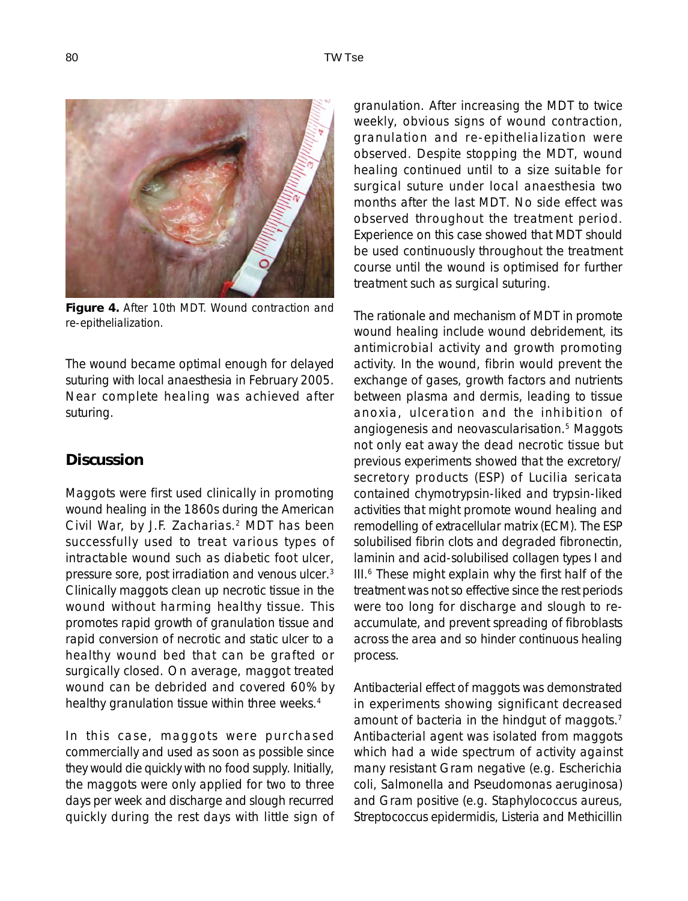

**Figure 4.** After 10th MDT. Wound contraction and re-epithelialization.

The wound became optimal enough for delayed suturing with local anaesthesia in February 2005. Near complete healing was achieved after suturing.

## **Discussion**

Maggots were first used clinically in promoting wound healing in the 1860s during the American Civil War, by J.F. Zacharias.<sup>2</sup> MDT has been successfully used to treat various types of intractable wound such as diabetic foot ulcer, pressure sore, post irradiation and venous ulcer.3 Clinically maggots clean up necrotic tissue in the wound without harming healthy tissue. This promotes rapid growth of granulation tissue and rapid conversion of necrotic and static ulcer to a healthy wound bed that can be grafted or surgically closed. On average, maggot treated wound can be debrided and covered 60% by healthy granulation tissue within three weeks.<sup>4</sup>

In this case, maggots were purchased commercially and used as soon as possible since they would die quickly with no food supply. Initially, the maggots were only applied for two to three days per week and discharge and slough recurred quickly during the rest days with little sign of granulation. After increasing the MDT to twice weekly, obvious signs of wound contraction, granulation and re-epithelialization were observed. Despite stopping the MDT, wound healing continued until to a size suitable for surgical suture under local anaesthesia two months after the last MDT. No side effect was observed throughout the treatment period. Experience on this case showed that MDT should be used continuously throughout the treatment course until the wound is optimised for further treatment such as surgical suturing.

The rationale and mechanism of MDT in promote wound healing include wound debridement, its antimicrobial activity and growth promoting activity. In the wound, fibrin would prevent the exchange of gases, growth factors and nutrients between plasma and dermis, leading to tissue anoxia, ulceration and the inhibition of angiogenesis and neovascularisation.5 Maggots not only eat away the dead necrotic tissue but previous experiments showed that the excretory/ secretory products (ESP) of Lucilia sericata contained chymotrypsin-liked and trypsin-liked activities that might promote wound healing and remodelling of extracellular matrix (ECM). The ESP solubilised fibrin clots and degraded fibronectin, laminin and acid-solubilised collagen types I and III.6 These might explain why the first half of the treatment was not so effective since the rest periods were too long for discharge and slough to reaccumulate, and prevent spreading of fibroblasts across the area and so hinder continuous healing process.

Antibacterial effect of maggots was demonstrated in experiments showing significant decreased amount of bacteria in the hindgut of maggots.7 Antibacterial agent was isolated from maggots which had a wide spectrum of activity against many resistant Gram negative (e.g. Escherichia coli, Salmonella and Pseudomonas aeruginosa) and Gram positive (e.g. Staphylococcus aureus, Streptococcus epidermidis, Listeria and Methicillin